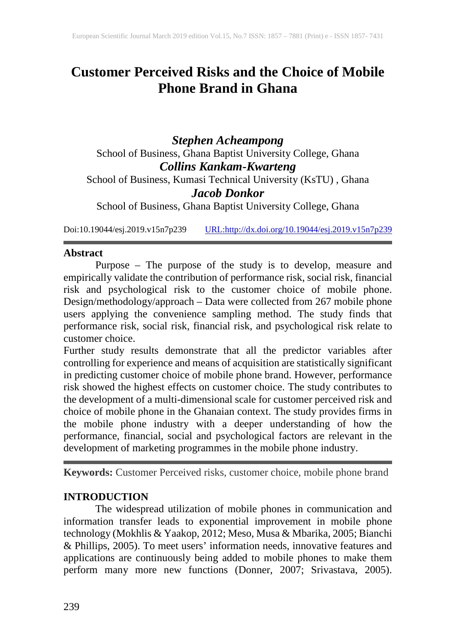# **Customer Perceived Risks and the Choice of Mobile Phone Brand in Ghana**

*Stephen Acheampong* School of Business, Ghana Baptist University College, Ghana *Collins Kankam-Kwarteng* School of Business, Kumasi Technical University (KsTU), Ghana *Jacob Donkor* School of Business, Ghana Baptist University College, Ghana

Doi:10.19044/esj.2019.v15n7p239 [URL:http://dx.doi.org/10.19044/esj.2019.v15n7p239](http://dx.doi.org/10.19044/esj.2019.v15n7p239)

# **Abstract**

Purpose – The purpose of the study is to develop, measure and empirically validate the contribution of performance risk, social risk, financial risk and psychological risk to the customer choice of mobile phone. Design/methodology/approach – Data were collected from 267 mobile phone users applying the convenience sampling method. The study finds that performance risk, social risk, financial risk, and psychological risk relate to customer choice.

Further study results demonstrate that all the predictor variables after controlling for experience and means of acquisition are statistically significant in predicting customer choice of mobile phone brand. However, performance risk showed the highest effects on customer choice. The study contributes to the development of a multi-dimensional scale for customer perceived risk and choice of mobile phone in the Ghanaian context. The study provides firms in the mobile phone industry with a deeper understanding of how the performance, financial, social and psychological factors are relevant in the development of marketing programmes in the mobile phone industry.

**Keywords:** Customer Perceived risks, customer choice, mobile phone brand

# **INTRODUCTION**

The widespread utilization of mobile phones in communication and information transfer leads to exponential improvement in mobile phone technology (Mokhlis & Yaakop, 2012; Meso, Musa & Mbarika, 2005; Bianchi & Phillips, 2005). To meet users' information needs, innovative features and applications are continuously being added to mobile phones to make them perform many more new functions (Donner, 2007; Srivastava, 2005).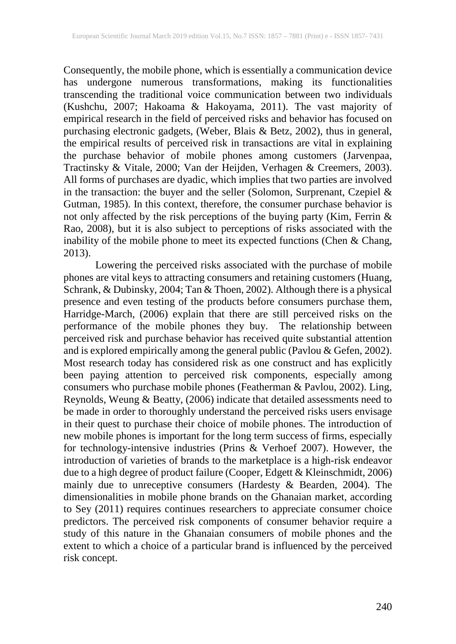Consequently, the mobile phone, which is essentially a communication device has undergone numerous transformations, making its functionalities transcending the traditional voice communication between two individuals (Kushchu, 2007; Hakoama & Hakoyama, 2011). The vast majority of empirical research in the field of perceived risks and behavior has focused on purchasing electronic gadgets, (Weber, Blais & Betz, 2002), thus in general, the empirical results of perceived risk in transactions are vital in explaining the purchase behavior of mobile phones among customers (Jarvenpaa, Tractinsky & Vitale, 2000; Van der Heijden, Verhagen & Creemers, 2003). All forms of purchases are dyadic, which implies that two parties are involved in the transaction: the buyer and the seller (Solomon, Surprenant, Czepiel & Gutman, 1985). In this context, therefore, the consumer purchase behavior is not only affected by the risk perceptions of the buying party (Kim, Ferrin & Rao, 2008), but it is also subject to perceptions of risks associated with the inability of the mobile phone to meet its expected functions (Chen & Chang, 2013).

Lowering the perceived risks associated with the purchase of mobile phones are vital keys to attracting consumers and retaining customers (Huang, Schrank, & Dubinsky, 2004; Tan & Thoen, 2002). Although there is a physical presence and even testing of the products before consumers purchase them, Harridge-March, (2006) explain that there are still perceived risks on the performance of the mobile phones they buy. The relationship between perceived risk and purchase behavior has received quite substantial attention and is explored empirically among the general public (Pavlou & Gefen, 2002). Most research today has considered risk as one construct and has explicitly been paying attention to perceived risk components, especially among consumers who purchase mobile phones (Featherman & Pavlou, 2002). Ling, Reynolds, Weung & Beatty, (2006) indicate that detailed assessments need to be made in order to thoroughly understand the perceived risks users envisage in their quest to purchase their choice of mobile phones. The introduction of new mobile phones is important for the long term success of firms, especially for technology-intensive industries (Prins & Verhoef 2007). However, the introduction of varieties of brands to the marketplace is a high-risk endeavor due to a high degree of product failure (Cooper, Edgett & Kleinschmidt, 2006) mainly due to unreceptive consumers (Hardesty & Bearden, 2004). The dimensionalities in mobile phone brands on the Ghanaian market, according to Sey (2011) requires continues researchers to appreciate consumer choice predictors. The perceived risk components of consumer behavior require a study of this nature in the Ghanaian consumers of mobile phones and the extent to which a choice of a particular brand is influenced by the perceived risk concept.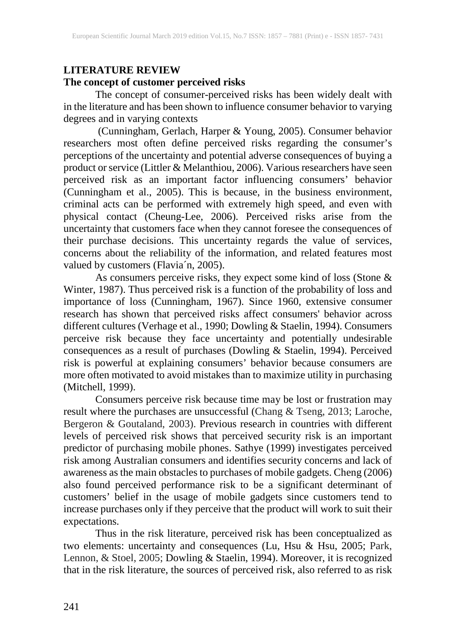# **LITERATURE REVIEW The concept of customer perceived risks**

The concept of consumer-perceived risks has been widely dealt with in the literature and has been shown to influence consumer behavior to varying degrees and in varying contexts

(Cunningham, Gerlach, Harper & Young, 2005). Consumer behavior researchers most often define perceived risks regarding the consumer's perceptions of the uncertainty and potential adverse consequences of buying a product or service (Littler & Melanthiou, 2006). Various researchers have seen perceived risk as an important factor influencing consumers' behavior (Cunningham et al., 2005). This is because, in the business environment, criminal acts can be performed with extremely high speed, and even with physical contact (Cheung-Lee, 2006). Perceived risks arise from the uncertainty that customers face when they cannot foresee the consequences of their purchase decisions. This uncertainty regards the value of services, concerns about the reliability of the information, and related features most valued by customers (Flavia<sup>'</sup>n, 2005).

As consumers perceive risks, they expect some kind of loss (Stone & Winter, 1987). Thus perceived risk is a function of the probability of loss and importance of loss (Cunningham, 1967). Since 1960, extensive consumer research has shown that perceived risks affect consumers' behavior across different cultures (Verhage et al., 1990; Dowling & Staelin, 1994). Consumers perceive risk because they face uncertainty and potentially undesirable consequences as a result of purchases (Dowling & Staelin, 1994). Perceived risk is powerful at explaining consumers' behavior because consumers are more often motivated to avoid mistakes than to maximize utility in purchasing (Mitchell, 1999).

Consumers perceive risk because time may be lost or frustration may result where the purchases are unsuccessful (Chang & Tseng, 2013; Laroche, Bergeron & Goutaland, 2003). Previous research in countries with different levels of perceived risk shows that perceived security risk is an important predictor of purchasing mobile phones. Sathye (1999) investigates perceived risk among Australian consumers and identifies security concerns and lack of awareness as the main obstacles to purchases of mobile gadgets. Cheng (2006) also found perceived performance risk to be a significant determinant of customers' belief in the usage of mobile gadgets since customers tend to increase purchases only if they perceive that the product will work to suit their expectations.

Thus in the risk literature, perceived risk has been conceptualized as two elements: uncertainty and consequences (Lu, Hsu & Hsu, 2005; Park, Lennon, & Stoel, 2005; Dowling & Staelin, 1994). Moreover, it is recognized that in the risk literature, the sources of perceived risk, also referred to as risk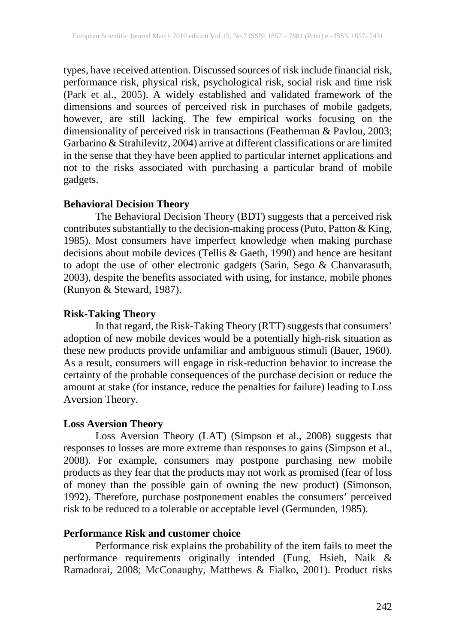types, have received attention. Discussed sources of risk include financial risk, performance risk, physical risk, psychological risk, social risk and time risk (Park et al., 2005). A widely established and validated framework of the dimensions and sources of perceived risk in purchases of mobile gadgets, however, are still lacking. The few empirical works focusing on the dimensionality of perceived risk in transactions (Featherman & Pavlou, 2003; Garbarino & Strahilevitz, 2004) arrive at different classifications or are limited in the sense that they have been applied to particular internet applications and not to the risks associated with purchasing a particular brand of mobile gadgets.

### **Behavioral Decision Theory**

The Behavioral Decision Theory (BDT) suggests that a perceived risk contributes substantially to the decision-making process (Puto, Patton & King, 1985). Most consumers have imperfect knowledge when making purchase decisions about mobile devices (Tellis & Gaeth, 1990) and hence are hesitant to adopt the use of other electronic gadgets (Sarin, Sego & Chanvarasuth, 2003), despite the benefits associated with using, for instance, mobile phones (Runyon & Steward, 1987).

#### **Risk-Taking Theory**

In that regard, the Risk-Taking Theory (RTT) suggests that consumers' adoption of new mobile devices would be a potentially high-risk situation as these new products provide unfamiliar and ambiguous stimuli (Bauer, 1960). As a result, consumers will engage in risk-reduction behavior to increase the certainty of the probable consequences of the purchase decision or reduce the amount at stake (for instance, reduce the penalties for failure) leading to Loss Aversion Theory.

### **Loss Aversion Theory**

Loss Aversion Theory (LAT) (Simpson et al., 2008) suggests that responses to losses are more extreme than responses to gains (Simpson et al., 2008). For example, consumers may postpone purchasing new mobile products as they fear that the products may not work as promised (fear of loss of money than the possible gain of owning the new product) (Simonson, 1992). Therefore, purchase postponement enables the consumers' perceived risk to be reduced to a tolerable or acceptable level (Germunden, 1985).

### **Performance Risk and customer choice**

Performance risk explains the probability of the item fails to meet the performance requirements originally intended (Fung, Hsieh, Naik & Ramadorai, 2008; McConaughy, Matthews & Fialko, 2001). Product risks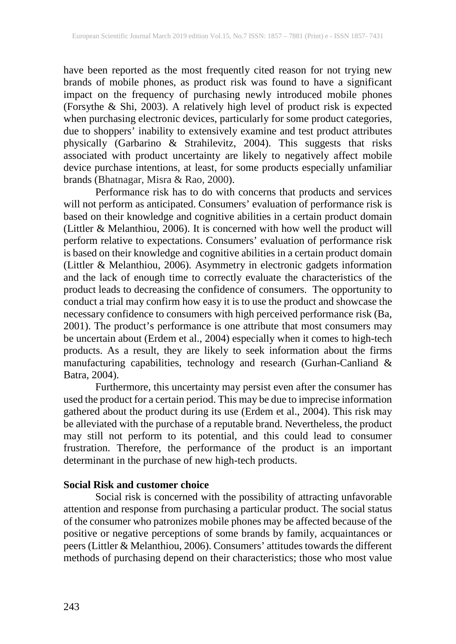have been reported as the most frequently cited reason for not trying new brands of mobile phones, as product risk was found to have a significant impact on the frequency of purchasing newly introduced mobile phones (Forsythe & Shi, 2003). A relatively high level of product risk is expected when purchasing electronic devices, particularly for some product categories, due to shoppers' inability to extensively examine and test product attributes physically (Garbarino & Strahilevitz, 2004). This suggests that risks associated with product uncertainty are likely to negatively affect mobile device purchase intentions, at least, for some products especially unfamiliar brands (Bhatnagar, Misra & Rao, 2000).

Performance risk has to do with concerns that products and services will not perform as anticipated. Consumers' evaluation of performance risk is based on their knowledge and cognitive abilities in a certain product domain (Littler & Melanthiou, 2006). It is concerned with how well the product will perform relative to expectations. Consumers' evaluation of performance risk is based on their knowledge and cognitive abilities in a certain product domain (Littler & Melanthiou, 2006). Asymmetry in electronic gadgets information and the lack of enough time to correctly evaluate the characteristics of the product leads to decreasing the confidence of consumers. The opportunity to conduct a trial may confirm how easy it is to use the product and showcase the necessary confidence to consumers with high perceived performance risk (Ba, 2001). The product's performance is one attribute that most consumers may be uncertain about (Erdem et al., 2004) especially when it comes to high-tech products. As a result, they are likely to seek information about the firms manufacturing capabilities, technology and research (Gurhan-Canliand & Batra, 2004).

Furthermore, this uncertainty may persist even after the consumer has used the product for a certain period. This may be due to imprecise information gathered about the product during its use (Erdem et al., 2004). This risk may be alleviated with the purchase of a reputable brand. Nevertheless, the product may still not perform to its potential, and this could lead to consumer frustration. Therefore, the performance of the product is an important determinant in the purchase of new high-tech products.

# **Social Risk and customer choice**

Social risk is concerned with the possibility of attracting unfavorable attention and response from purchasing a particular product. The social status of the consumer who patronizes mobile phones may be affected because of the positive or negative perceptions of some brands by family, acquaintances or peers (Littler & Melanthiou, 2006). Consumers' attitudes towards the different methods of purchasing depend on their characteristics; those who most value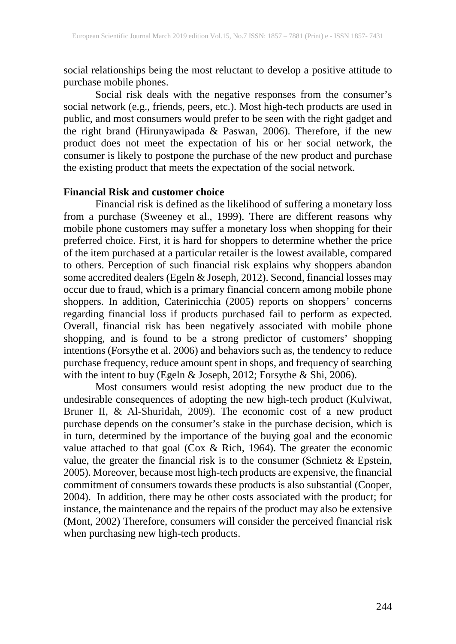social relationships being the most reluctant to develop a positive attitude to purchase mobile phones.

Social risk deals with the negative responses from the consumer's social network (e.g., friends, peers, etc.). Most high-tech products are used in public, and most consumers would prefer to be seen with the right gadget and the right brand (Hirunyawipada & Paswan, 2006). Therefore, if the new product does not meet the expectation of his or her social network, the consumer is likely to postpone the purchase of the new product and purchase the existing product that meets the expectation of the social network.

#### **Financial Risk and customer choice**

Financial risk is defined as the likelihood of suffering a monetary loss from a purchase (Sweeney et al., 1999). There are different reasons why mobile phone customers may suffer a monetary loss when shopping for their preferred choice. First, it is hard for shoppers to determine whether the price of the item purchased at a particular retailer is the lowest available, compared to others. Perception of such financial risk explains why shoppers abandon some accredited dealers (Egeln & Joseph, 2012). Second, financial losses may occur due to fraud, which is a primary financial concern among mobile phone shoppers. In addition, Caterinicchia (2005) reports on shoppers' concerns regarding financial loss if products purchased fail to perform as expected. Overall, financial risk has been negatively associated with mobile phone shopping, and is found to be a strong predictor of customers' shopping intentions (Forsythe et al. 2006) and behaviors such as, the tendency to reduce purchase frequency, reduce amount spent in shops, and frequency of searching with the intent to buy (Egeln & Joseph, 2012; Forsythe & Shi, 2006).

Most consumers would resist adopting the new product due to the undesirable consequences of adopting the new high-tech product (Kulviwat, Bruner II, & Al-Shuridah, 2009). The economic cost of a new product purchase depends on the consumer's stake in the purchase decision, which is in turn, determined by the importance of the buying goal and the economic value attached to that goal (Cox & Rich, 1964). The greater the economic value, the greater the financial risk is to the consumer (Schnietz  $\&$  Epstein, 2005). Moreover, because most high-tech products are expensive, the financial commitment of consumers towards these products is also substantial (Cooper, 2004). In addition, there may be other costs associated with the product; for instance, the maintenance and the repairs of the product may also be extensive (Mont, 2002) Therefore, consumers will consider the perceived financial risk when purchasing new high-tech products.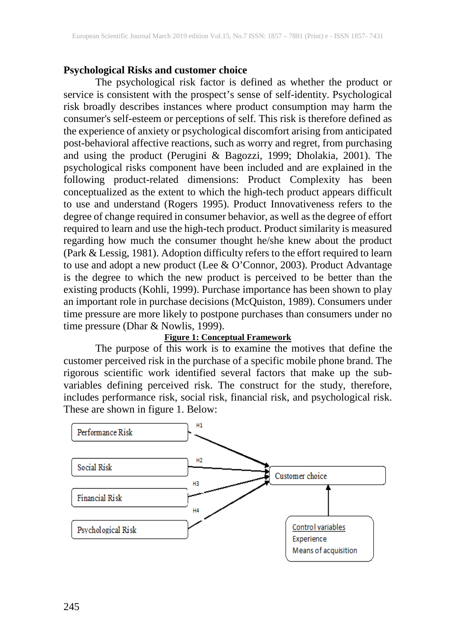# **Psychological Risks and customer choice**

The psychological risk factor is defined as whether the product or service is consistent with the prospect's sense of self-identity. Psychological risk broadly describes instances where product consumption may harm the consumer's self-esteem or perceptions of self. This risk is therefore defined as the experience of anxiety or psychological discomfort arising from anticipated post-behavioral affective reactions, such as worry and regret, from purchasing and using the product [\(Perugini & Bagozzi, 1999;](http://onlinelibrary.wiley.com/doi/10.1111/j.1083-6101.2002.tb00160.x/full#b70) [Dholakia, 2001\)](http://onlinelibrary.wiley.com/doi/10.1111/j.1083-6101.2002.tb00160.x/full#b14). The psychological risks component have been included and are explained in the following product-related dimensions: Product Complexity has been conceptualized as the extent to which the high-tech product appears difficult to use and understand (Rogers 1995). Product Innovativeness refers to the degree of change required in consumer behavior, as well as the degree of effort required to learn and use the high-tech product. Product similarity is measured regarding how much the consumer thought he/she knew about the product (Park & Lessig, 1981). Adoption difficulty refers to the effort required to learn to use and adopt a new product (Lee & O'Connor, 2003). Product Advantage is the degree to which the new product is perceived to be better than the existing products (Kohli, 1999). Purchase importance has been shown to play an important role in purchase decisions (McQuiston, 1989). Consumers under time pressure are more likely to postpone purchases than consumers under no time pressure (Dhar & Nowlis, 1999).

#### **Figure 1: Conceptual Framework**

The purpose of this work is to examine the motives that define the customer perceived risk in the purchase of a specific mobile phone brand. The rigorous scientific work identified several factors that make up the subvariables defining perceived risk. The construct for the study, therefore, includes performance risk, social risk, financial risk, and psychological risk. These are shown in figure 1. Below:

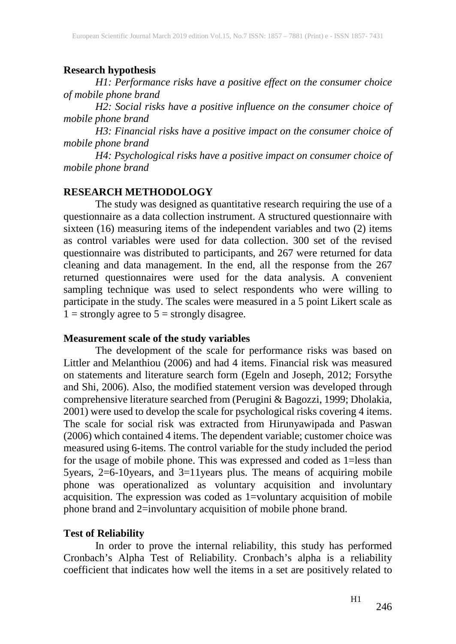# **Research hypothesis**

*H1: Performance risks have a positive effect on the consumer choice of mobile phone brand*

*H2: Social risks have a positive influence on the consumer choice of mobile phone brand* 

*H3: Financial risks have a positive impact on the consumer choice of mobile phone brand* 

*H4: Psychological risks have a positive impact on consumer choice of mobile phone brand*

## **RESEARCH METHODOLOGY**

The study was designed as quantitative research requiring the use of a questionnaire as a data collection instrument. A structured questionnaire with sixteen (16) measuring items of the independent variables and two (2) items as control variables were used for data collection. 300 set of the revised questionnaire was distributed to participants, and 267 were returned for data cleaning and data management. In the end, all the response from the 267 returned questionnaires were used for the data analysis. A convenient sampling technique was used to select respondents who were willing to participate in the study. The scales were measured in a 5 point Likert scale as  $1 =$  strongly agree to  $5 =$  strongly disagree.

# **Measurement scale of the study variables**

The development of the scale for performance risks was based on Littler and Melanthiou (2006) and had 4 items. Financial risk was measured on statements and literature search form (Egeln and Joseph, 2012; Forsythe and Shi, 2006). Also, the modified statement version was developed through comprehensive literature searched from [\(Perugini & Bagozzi, 1999;](http://onlinelibrary.wiley.com/doi/10.1111/j.1083-6101.2002.tb00160.x/full#b70) [Dholakia,](http://onlinelibrary.wiley.com/doi/10.1111/j.1083-6101.2002.tb00160.x/full#b14) [2001\)](http://onlinelibrary.wiley.com/doi/10.1111/j.1083-6101.2002.tb00160.x/full#b14) were used to develop the scale for psychological risks covering 4 items. The scale for social risk was extracted from Hirunyawipada and Paswan (2006) which contained 4 items. The dependent variable; customer choice was measured using 6-items. The control variable for the study included the period for the usage of mobile phone. This was expressed and coded as 1=less than 5years, 2=6-10years, and 3=11years plus. The means of acquiring mobile phone was operationalized as voluntary acquisition and involuntary acquisition. The expression was coded as 1=voluntary acquisition of mobile phone brand and 2=involuntary acquisition of mobile phone brand.

# **Test of Reliability**

In order to prove the internal reliability, this study has performed Cronbach's Alpha Test of Reliability. Cronbach's alpha is a reliability coefficient that indicates how well the items in a set are positively related to

 $H1$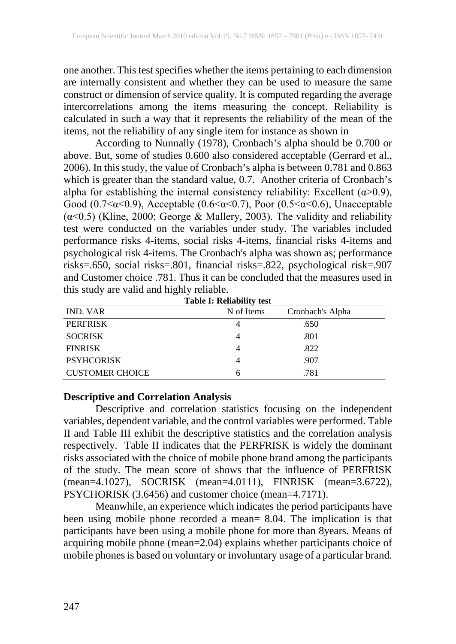one another. This test specifies whether the items pertaining to each dimension are internally consistent and whether they can be used to measure the same construct or dimension of service quality. It is computed regarding the average intercorrelations among the items measuring the concept. Reliability is calculated in such a way that it represents the reliability of the mean of the items, not the reliability of any single item for instance as shown in

According to Nunnally (1978), Cronbach's alpha should be 0.700 or above. But, some of studies 0.600 also considered acceptable (Gerrard et al., 2006). In this study, the value of Cronbach's alpha is between 0.781 and 0.863 which is greater than the standard value, 0.7. Another criteria of Cronbach's alpha for establishing the internal consistency reliability: Excellent (α>0.9), Good (0.7<α<0.9), Acceptable (0.6<α<0.7), Poor (0.5<α<0.6), Unacceptable (α<0.5) (Kline, 2000; George & Mallery, 2003). The validity and reliability test were conducted on the variables under study. The variables included performance risks 4-items, social risks 4-items, financial risks 4-items and psychological risk 4-items. The Cronbach's alpha was shown as; performance risks=.650, social risks=.801, financial risks=.822, psychological risk=.907 and Customer choice .781. Thus it can be concluded that the measures used in this study are valid and highly reliable.

| <b>Table I: Reliability test</b> |            |                  |  |  |  |  |
|----------------------------------|------------|------------------|--|--|--|--|
| <b>IND. VAR</b>                  | N of Items | Cronbach's Alpha |  |  |  |  |
| <b>PERFRISK</b>                  |            | .650             |  |  |  |  |
| <b>SOCRISK</b>                   |            | .801             |  |  |  |  |
| <b>FINRISK</b>                   |            | .822             |  |  |  |  |
| <b>PSYHCORISK</b>                |            | .907             |  |  |  |  |
| <b>CUSTOMER CHOICE</b>           | რ          | .781             |  |  |  |  |

### **Descriptive and Correlation Analysis**

Descriptive and correlation statistics focusing on the independent variables, dependent variable, and the control variables were performed. Table II and Table III exhibit the descriptive statistics and the correlation analysis respectively. Table II indicates that the PERFRISK is widely the dominant risks associated with the choice of mobile phone brand among the participants of the study. The mean score of shows that the influence of PERFRISK (mean=4.1027), SOCRISK (mean=4.0111), FINRISK (mean=3.6722), PSYCHORISK (3.6456) and customer choice (mean=4.7171).

Meanwhile, an experience which indicates the period participants have been using mobile phone recorded a mean= 8.04. The implication is that participants have been using a mobile phone for more than 8years. Means of acquiring mobile phone (mean=2.04) explains whether participants choice of mobile phones is based on voluntary or involuntary usage of a particular brand.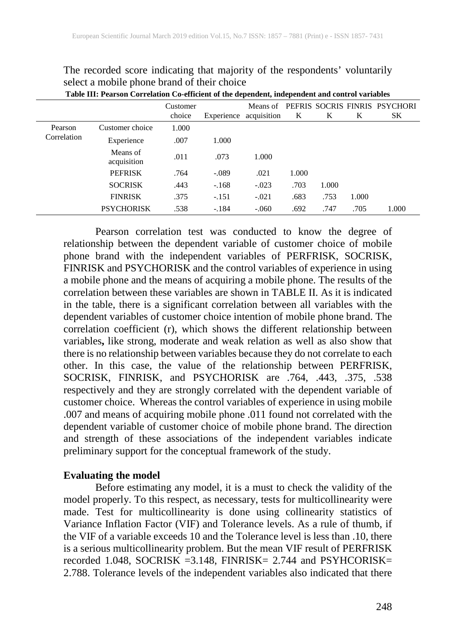|             | Table III: Pearson Correlation Co-efficient of the dependent, independent and control variables |                    |            |                         |       |       |       |                                      |  |
|-------------|-------------------------------------------------------------------------------------------------|--------------------|------------|-------------------------|-------|-------|-------|--------------------------------------|--|
|             |                                                                                                 | Customer<br>choice | Experience | Means of<br>acquisition | K     | K     | K     | PEFRIS SOCRIS FINRIS PSYCHORI<br>SK. |  |
| Pearson     | Customer choice                                                                                 | 1.000              |            |                         |       |       |       |                                      |  |
| Correlation | Experience                                                                                      | .007               | 1.000      |                         |       |       |       |                                      |  |
|             | Means of<br>acquisition                                                                         | .011               | .073       | 1.000                   |       |       |       |                                      |  |
|             | <b>PEFRISK</b>                                                                                  | .764               | $-.089$    | .021                    | 1.000 |       |       |                                      |  |
|             | <b>SOCRISK</b>                                                                                  | .443               | $-.168$    | $-.023$                 | .703  | 1.000 |       |                                      |  |
|             | <b>FINRISK</b>                                                                                  | .375               | $-.151$    | $-.021$                 | .683  | .753  | 1.000 |                                      |  |
|             | <b>PSYCHORISK</b>                                                                               | .538               | $-.184$    | $-.060$                 | .692  | .747  | .705  | 1.000                                |  |

The recorded score indicating that majority of the respondents' voluntarily select a mobile phone brand of their choice

Pearson correlation test was conducted to know the degree of relationship between the dependent variable of customer choice of mobile phone brand with the independent variables of PERFRISK, SOCRISK, FINRISK and PSYCHORISK and the control variables of experience in using a mobile phone and the means of acquiring a mobile phone. The results of the correlation between these variables are shown in TABLE II. As it is indicated in the table, there is a significant correlation between all variables with the dependent variables of customer choice intention of mobile phone brand. The correlation coefficient (r), which shows the different relationship between variables**,** like strong, moderate and weak relation as well as also show that there is no relationship between variables because they do not correlate to each other. In this case, the value of the relationship between PERFRISK, SOCRISK, FINRISK, and PSYCHORISK are .764, .443, .375, .538 respectively and they are strongly correlated with the dependent variable of customer choice. Whereas the control variables of experience in using mobile .007 and means of acquiring mobile phone .011 found not correlated with the dependent variable of customer choice of mobile phone brand. The direction and strength of these associations of the independent variables indicate preliminary support for the conceptual framework of the study.

### **Evaluating the model**

Before estimating any model, it is a must to check the validity of the model properly. To this respect, as necessary, tests for multicollinearity were made. Test for multicollinearity is done using collinearity statistics of Variance Inflation Factor (VIF) and Tolerance levels. As a rule of thumb, if the VIF of a variable exceeds 10 and the Tolerance level is less than .10, there is a serious multicollinearity problem. But the mean VIF result of PERFRISK recorded 1.048, SOCRISK =3.148, FINRISK= 2.744 and PSYHCORISK= 2.788. Tolerance levels of the independent variables also indicated that there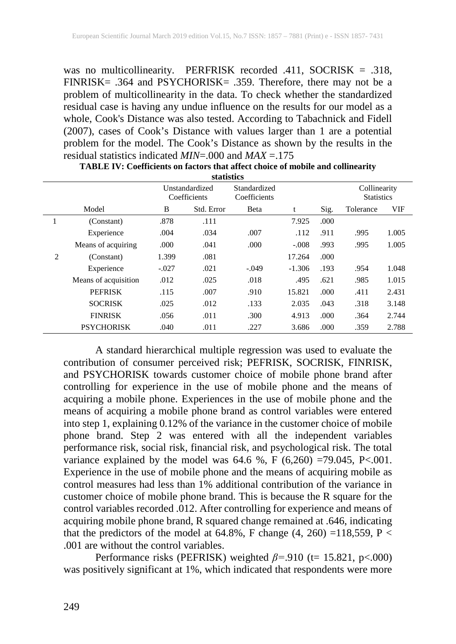was no multicollinearity. PERFRISK recorded .411, SOCRISK = .318, FINRISK= .364 and PSYCHORISK= .359. Therefore, there may not be a problem of multicollinearity in the data. To check whether the standardized residual case is having any undue influence on the results for our model as a whole, Cook's Distance was also tested. According to Tabachnick and Fidell (2007), cases of Cook's Distance with values larger than 1 are a potential problem for the model. The Cook's Distance as shown by the results in the residual statistics indicated *MIN*=.000 and *MAX* =.175

|                               | маимис               |         |                                |                              |          |       |                                   |            |  |
|-------------------------------|----------------------|---------|--------------------------------|------------------------------|----------|-------|-----------------------------------|------------|--|
|                               |                      |         | Unstandardized<br>Coefficients | Standardized<br>Coefficients |          |       | Collinearity<br><b>Statistics</b> |            |  |
|                               | Model                | B       | Std. Error                     | <b>Beta</b>                  | t        | Sig.  | Tolerance                         | <b>VIF</b> |  |
| $\mathbf{1}$                  | (Constant)           | .878    | .111                           |                              | 7.925    | .000  |                                   |            |  |
|                               | Experience           | .004    | .034                           | .007                         | .112     | .911  | .995                              | 1.005      |  |
|                               | Means of acquiring   | .000    | .041                           | .000                         | $-.008$  | .993  | .995                              | 1.005      |  |
| $\mathfrak{D}_{\mathfrak{p}}$ | (Constant)           | 1.399   | .081                           |                              | 17.264   | .000. |                                   |            |  |
|                               | Experience           | $-.027$ | .021                           | $-.049$                      | $-1.306$ | .193  | .954                              | 1.048      |  |
|                               | Means of acquisition | .012    | .025                           | .018                         | .495     | .621  | .985                              | 1.015      |  |
|                               | <b>PEFRISK</b>       | .115    | .007                           | .910                         | 15.821   | .000  | .411                              | 2.431      |  |
|                               | <b>SOCRISK</b>       | .025    | .012                           | .133                         | 2.035    | .043  | .318                              | 3.148      |  |
|                               | <b>FINRISK</b>       | .056    | .011                           | .300                         | 4.913    | .000. | .364                              | 2.744      |  |
|                               | <b>PSYCHORISK</b>    | .040    | .011                           | .227                         | 3.686    | .000. | .359                              | 2.788      |  |

| TABLE IV: Coefficients on factors that affect choice of mobile and collinearity |  |
|---------------------------------------------------------------------------------|--|
| statistics                                                                      |  |

A standard hierarchical multiple regression was used to evaluate the contribution of consumer perceived risk; PEFRISK, SOCRISK, FINRISK, and PSYCHORISK towards customer choice of mobile phone brand after controlling for experience in the use of mobile phone and the means of acquiring a mobile phone. Experiences in the use of mobile phone and the means of acquiring a mobile phone brand as control variables were entered into step 1, explaining 0.12% of the variance in the customer choice of mobile phone brand. Step 2 was entered with all the independent variables performance risk, social risk, financial risk, and psychological risk. The total variance explained by the model was  $64.6 \%$ , F  $(6,260) = 79.045$ , P<.001. Experience in the use of mobile phone and the means of acquiring mobile as control measures had less than 1% additional contribution of the variance in customer choice of mobile phone brand. This is because the R square for the control variables recorded .012. After controlling for experience and means of acquiring mobile phone brand, R squared change remained at .646, indicating that the predictors of the model at 64.8%, F change  $(4, 260)$  =118,559, P < .001 are without the control variables.

Performance risks (PEFRISK) weighted *β=*.910 (t= 15.821, p<.000) was positively significant at 1%, which indicated that respondents were more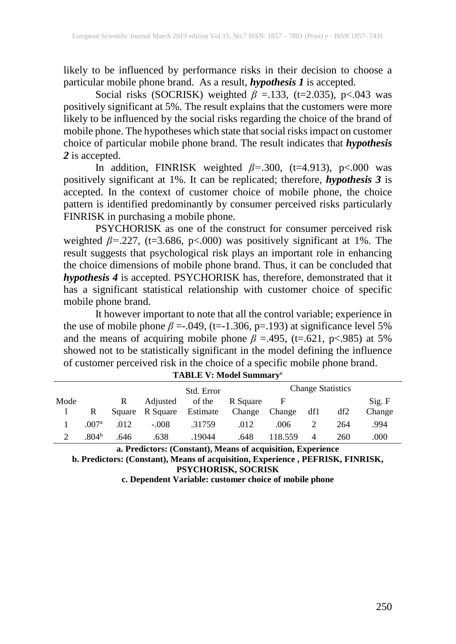likely to be influenced by performance risks in their decision to choose a particular mobile phone brand. As a result, *hypothesis 1* is accepted.

Social risks (SOCRISK) weighted *β* = 133, (t=2.035), p<.043 was positively significant at 5%. The result explains that the customers were more likely to be influenced by the social risks regarding the choice of the brand of mobile phone. The hypotheses which state that social risks impact on customer choice of particular mobile phone brand. The result indicates that *hypothesis 2* is accepted.

In addition, FINRISK weighted *β=*.300, (t=4.913), p<.000 was positively significant at 1%. It can be replicated; therefore, *hypothesis 3* is accepted. In the context of customer choice of mobile phone, the choice pattern is identified predominantly by consumer perceived risks particularly FINRISK in purchasing a mobile phone.

PSYCHORISK as one of the construct for consumer perceived risk weighted *β=*.227, (t=3.686, p<.000) was positively significant at 1%. The result suggests that psychological risk plays an important role in enhancing the choice dimensions of mobile phone brand. Thus, it can be concluded that *hypothesis 4* is accepted. PSYCHORISK has, therefore, demonstrated that it has a significant statistical relationship with customer choice of specific mobile phone brand.

It however important to note that all the control variable; experience in the use of mobile phone  $\beta = 0.049$ , (t=-1.306, p=.193) at significance level 5% and the means of acquiring mobile phone  $\beta$  =.495, (t=.621, p<.985) at 5% showed not to be statistically significant in the model defining the influence of customer perceived risk in the choice of a specific mobile phone brand.

|               |                   |        |          | Std. Error |          |              |     | <b>Change Statistics</b> |        |
|---------------|-------------------|--------|----------|------------|----------|--------------|-----|--------------------------|--------|
| Mode          |                   | R      | Adjusted | of the     | R Square | $\mathbf{F}$ |     |                          | Sig. F |
|               | R                 | Square | R Square | Estimate   | Change   | Change       | df1 | df2                      | Change |
|               | .007 <sup>a</sup> | .012   | $-.008$  | .31759     | .012     | .006         |     | 264                      | .994   |
| $\mathcal{D}$ | .804 <sup>b</sup> | .646   | .638     | .19044     | .648     | 118.559      | 4   | 260                      | .000   |

| <b>TABLE V: Model Summary<sup>c</sup></b> |  |
|-------------------------------------------|--|
|-------------------------------------------|--|

**a. Predictors: (Constant), Means of acquisition, Experience b. Predictors: (Constant), Means of acquisition, Experience , PEFRISK, FINRISK, PSYCHORISK, SOCRISK**

**c. Dependent Variable: customer choice of mobile phone**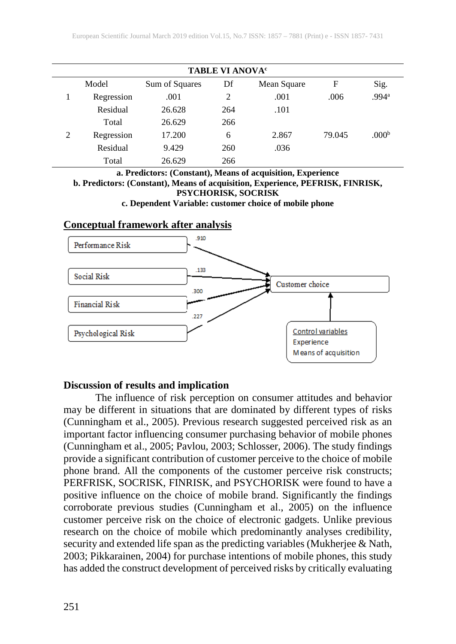| TABLE VI ANOVA <sup>c</sup> |            |                |     |             |        |                   |  |  |
|-----------------------------|------------|----------------|-----|-------------|--------|-------------------|--|--|
|                             | Model      | Sum of Squares | Df  | Mean Square | F      | Sig.              |  |  |
|                             | Regression | .001           | 2   | .001        | .006   | .994 <sup>a</sup> |  |  |
|                             | Residual   | 26.628         | 264 | .101        |        |                   |  |  |
|                             | Total      | 26.629         | 266 |             |        |                   |  |  |
| 2                           | Regression | 17.200         | 6   | 2.867       | 79.045 | .000 <sup>b</sup> |  |  |
|                             | Residual   | 9.429          | 260 | .036        |        |                   |  |  |
|                             | Total      | 26.629         | 266 |             |        |                   |  |  |

**a. Predictors: (Constant), Means of acquisition, Experience b. Predictors: (Constant), Means of acquisition, Experience, PEFRISK, FINRISK, PSYCHORISK, SOCRISK c. Dependent Variable: customer choice of mobile phone**

### **Conceptual framework after analysis**



### **Discussion of results and implication**

The influence of risk perception on consumer attitudes and behavior may be different in situations that are dominated by different types of risks (Cunningham et al., 2005). Previous research suggested perceived risk as an important factor influencing consumer purchasing behavior of mobile phones (Cunningham et al., 2005; Pavlou, 2003; Schlosser, 2006). The study findings provide a significant contribution of customer perceive to the choice of mobile phone brand. All the components of the customer perceive risk constructs; PERFRISK, SOCRISK, FINRISK, and PSYCHORISK were found to have a positive influence on the choice of mobile brand. Significantly the findings corroborate previous studies (Cunningham et al., 2005) on the influence customer perceive risk on the choice of electronic gadgets. Unlike previous research on the choice of mobile which predominantly analyses credibility, security and extended life span as the predicting variables (Mukherjee & Nath, 2003; Pikkarainen, 2004) for purchase intentions of mobile phones, this study has added the construct development of perceived risks by critically evaluating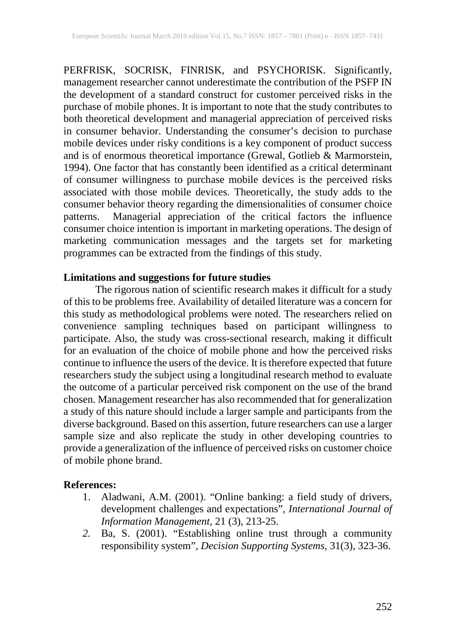PERFRISK, SOCRISK, FINRISK, and PSYCHORISK. Significantly, management researcher cannot underestimate the contribution of the PSFP IN the development of a standard construct for customer perceived risks in the purchase of mobile phones. It is important to note that the study contributes to both theoretical development and managerial appreciation of perceived risks in consumer behavior. Understanding the consumer's decision to purchase mobile devices under risky conditions is a key component of product success and is of enormous theoretical importance (Grewal, Gotlieb & Marmorstein, 1994). One factor that has constantly been identified as a critical determinant of consumer willingness to purchase mobile devices is the perceived risks associated with those mobile devices. Theoretically, the study adds to the consumer behavior theory regarding the dimensionalities of consumer choice patterns. Managerial appreciation of the critical factors the influence consumer choice intention is important in marketing operations. The design of marketing communication messages and the targets set for marketing programmes can be extracted from the findings of this study.

#### **Limitations and suggestions for future studies**

The rigorous nation of scientific research makes it difficult for a study of this to be problems free. Availability of detailed literature was a concern for this study as methodological problems were noted. The researchers relied on convenience sampling techniques based on participant willingness to participate. Also, the study was cross-sectional research, making it difficult for an evaluation of the choice of mobile phone and how the perceived risks continue to influence the users of the device. It is therefore expected that future researchers study the subject using a longitudinal research method to evaluate the outcome of a particular perceived risk component on the use of the brand chosen. Management researcher has also recommended that for generalization a study of this nature should include a larger sample and participants from the diverse background. Based on this assertion, future researchers can use a larger sample size and also replicate the study in other developing countries to provide a generalization of the influence of perceived risks on customer choice of mobile phone brand.

### **References:**

- 1. Aladwani, A.M. (2001). "Online banking: a field study of drivers, development challenges and expectations", *International Journal of Information Management*, 21 (3), 213-25.
- *2.* Ba, S. (2001). "Establishing online trust through a community responsibility system", *Decision Supporting Systems,* 31(3), 323-36.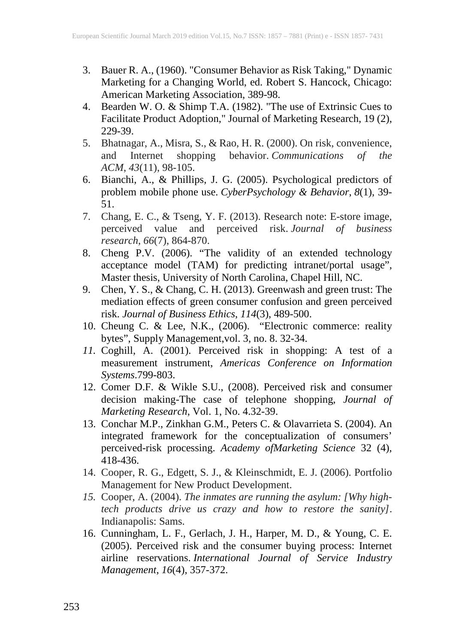- 3. Bauer R. A., (1960). "Consumer Behavior as Risk Taking," Dynamic Marketing for a Changing World, ed. Robert S. Hancock, Chicago: American Marketing Association, 389-98.
- 4. Bearden W. O. & Shimp T.A. (1982). "The use of Extrinsic Cues to Facilitate Product Adoption," Journal of Marketing Research, 19 (2), 229-39.
- 5. Bhatnagar, A., Misra, S., & Rao, H. R. (2000). On risk, convenience, and Internet shopping behavior. *Communications of the ACM*, *43*(11), 98-105.
- 6. Bianchi, A., & Phillips, J. G. (2005). Psychological predictors of problem mobile phone use. *CyberPsychology & Behavior*, *8*(1), 39- 51.
- 7. Chang, E. C., & Tseng, Y. F. (2013). Research note: E-store image, perceived value and perceived risk. *Journal of business research*, *66*(7), 864-870.
- 8. Cheng P.V. (2006). "The validity of an extended technology acceptance model (TAM) for predicting intranet/portal usage", Master thesis, University of North Carolina, Chapel Hill, NC.
- 9. Chen, Y. S., & Chang, C. H. (2013). Greenwash and green trust: The mediation effects of green consumer confusion and green perceived risk. *Journal of Business Ethics*, *114*(3), 489-500.
- 10. Cheung C. & Lee, N.K., (2006). "Electronic commerce: reality bytes", Supply Management,vol. 3, no. 8. 32-34.
- *11.* Coghill, A. (2001). Perceived risk in shopping: A test of a measurement instrument, *Americas Conference on Information Systems*.799-803.
- 12. Comer D.F. & Wikle S.U., (2008). Perceived risk and consumer decision making-The case of telephone shopping, *Journal of Marketing Research*, Vol. 1, No. 4.32-39.
- 13. Conchar M.P., Zinkhan G.M., Peters C. & Olavarrieta S. (2004). An integrated framework for the conceptualization of consumers' perceived-risk processing. *Academy ofMarketing Science* 32 (4), 418-436.
- 14. Cooper, R. G., Edgett, S. J., & Kleinschmidt, E. J. (2006). Portfolio Management for New Product Development.
- *15.* Cooper, A. (2004). *The inmates are running the asylum: [Why hightech products drive us crazy and how to restore the sanity]*. Indianapolis: Sams.
- 16. Cunningham, L. F., Gerlach, J. H., Harper, M. D., & Young, C. E. (2005). Perceived risk and the consumer buying process: Internet airline reservations. *International Journal of Service Industry Management*, *16*(4), 357-372.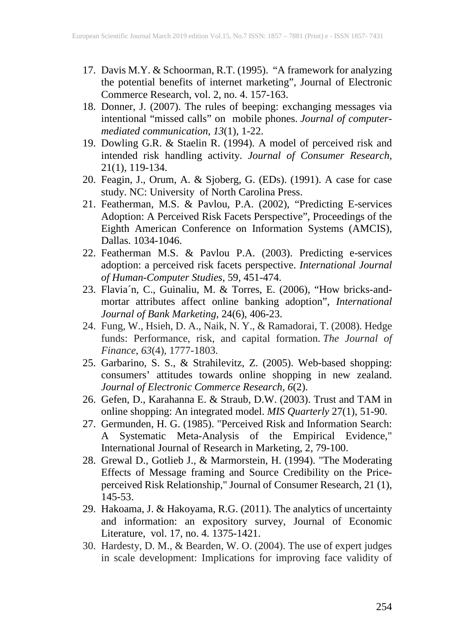- 17. Davis M.Y. & Schoorman, R.T. (1995). "A framework for analyzing the potential benefits of internet marketing", Journal of Electronic Commerce Research, vol. 2, no. 4. 157-163.
- 18. Donner, J. (2007). The rules of beeping: exchanging messages via intentional "missed calls" on mobile phones. *Journal of computermediated communication*, *13*(1), 1-22.
- 19. Dowling G.R. & Staelin R. (1994). A model of perceived risk and intended risk handling activity. *Journal of Consumer Research,*  21(1), 119-134.
- 20. Feagin, J., Orum, A. & Sjoberg, G. (EDs). (1991). A case for case study. NC: University of North Carolina Press.
- 21. Featherman, M.S. & Pavlou, P.A. (2002), "Predicting E-services Adoption: A Perceived Risk Facets Perspective", Proceedings of the Eighth American Conference on Information Systems (AMCIS), Dallas. 1034-1046.
- 22. Featherman M.S. & Pavlou P.A. (2003). Predicting e-services adoption: a perceived risk facets perspective. *International Journal of Human-Computer Studies*, 59, 451-474.
- 23. Flavia´n, C., Guinaliu, M. & Torres, E. (2006), "How bricks-andmortar attributes affect online banking adoption", *International Journal of Bank Marketing*, 24(6), 406-23.
- 24. Fung, W., Hsieh, D. A., Naik, N. Y., & Ramadorai, T. (2008). Hedge funds: Performance, risk, and capital formation. *The Journal of Finance*, *63*(4), 1777-1803.
- 25. Garbarino, S. S., & Strahilevitz, Z. (2005). Web-based shopping: consumers' attitudes towards online shopping in new zealand. *Journal of Electronic Commerce Research, 6*(2).
- 26. Gefen, D., Karahanna E. & Straub, D.W. (2003). Trust and TAM in online shopping: An integrated model. *MIS Quarterly* 27(1), 51-90.
- 27. Germunden, H. G. (1985). "Perceived Risk and Information Search: A Systematic Meta-Analysis of the Empirical Evidence," International Journal of Research in Marketing, 2, 79-100.
- 28. Grewal D., Gotlieb J., & Marmorstein, H. (1994). "The Moderating Effects of Message framing and Source Credibility on the Priceperceived Risk Relationship," Journal of Consumer Research, 21 (1), 145-53.
- 29. Hakoama, J. & Hakoyama, R.G. (2011). The analytics of uncertainty and information: an expository survey, Journal of Economic Literature, vol. 17, no. 4. 1375-1421.
- 30. Hardesty, D. M., & Bearden, W. O. (2004). The use of expert judges in scale development: Implications for improving face validity of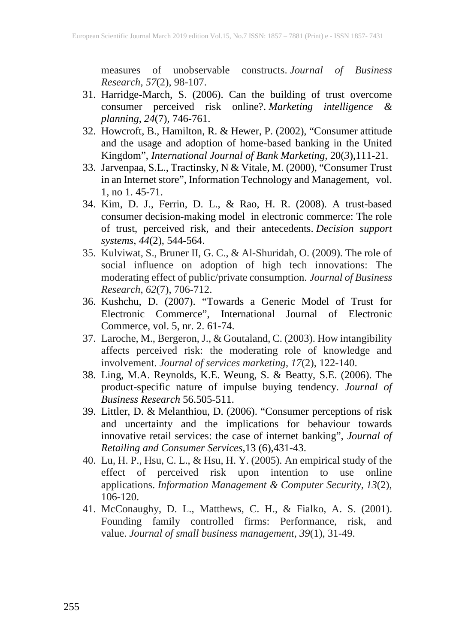measures of unobservable constructs. *Journal of Business Research*, *57*(2), 98-107.

- 31. Harridge-March, S. (2006). Can the building of trust overcome consumer perceived risk online?. *Marketing intelligence & planning*, *24*(7), 746-761.
- 32. Howcroft, B., Hamilton, R. & Hewer, P. (2002), "Consumer attitude and the usage and adoption of home-based banking in the United Kingdom", *International Journal of Bank Marketing,* 20(*3*),111-21.
- 33. Jarvenpaa, S.L., Tractinsky, N & Vitale, M. (2000), "Consumer Trust in an Internet store", Information Technology and Management, vol. 1, no 1. 45-71.
- 34. Kim, D. J., Ferrin, D. L., & Rao, H. R. (2008). A trust-based consumer decision-making model in electronic commerce: The role of trust, perceived risk, and their antecedents. *Decision support systems*, *44*(2), 544-564.
- 35. Kulviwat, S., Bruner II, G. C., & Al-Shuridah, O. (2009). The role of social influence on adoption of high tech innovations: The moderating effect of public/private consumption. *Journal of Business Research*, *62*(7), 706-712.
- 36. Kushchu, D. (2007). "Towards a Generic Model of Trust for Electronic Commerce", International Journal of Electronic Commerce, vol. 5, nr. 2. 61-74.
- 37. Laroche, M., Bergeron, J., & Goutaland, C. (2003). How intangibility affects perceived risk: the moderating role of knowledge and involvement. *Journal of services marketing*, *17*(2), 122-140.
- 38. Ling, M.A. Reynolds, K.E. Weung, S. & Beatty, S.E. (2006). The product-specific nature of impulse buying tendency. *Journal of Business Research* 56.505-511.
- 39. Littler, D. & Melanthiou, D. (2006). "Consumer perceptions of risk and uncertainty and the implications for behaviour towards innovative retail services: the case of internet banking", *Journal of Retailing and Consumer Services*,13 (6),431-43.
- 40. Lu, H. P., Hsu, C. L., & Hsu, H. Y. (2005). An empirical study of the effect of perceived risk upon intention to use online applications. *Information Management & Computer Security*, *13*(2), 106-120.
- 41. McConaughy, D. L., Matthews, C. H., & Fialko, A. S. (2001). Founding family controlled firms: Performance, risk, and value. *Journal of small business management*, *39*(1), 31-49.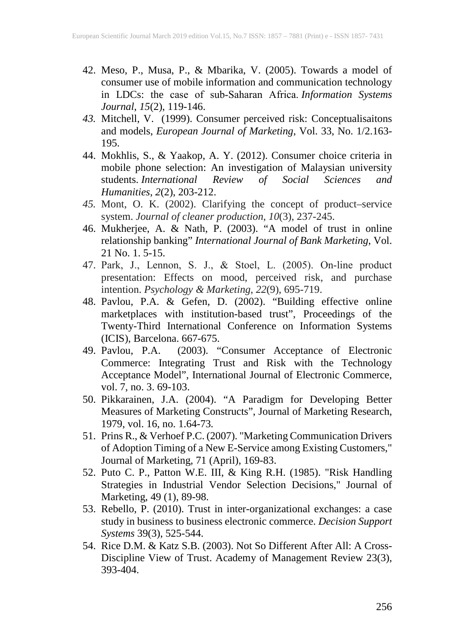- 42. Meso, P., Musa, P., & Mbarika, V. (2005). Towards a model of consumer use of mobile information and communication technology in LDCs: the case of sub‐Saharan Africa. *Information Systems Journal*, *15*(2), 119-146.
- *43.* Mitchell, V. (1999). Consumer perceived risk: Conceptualisaitons and models, *European Journal of Marketing*, Vol. 33, No. 1/2.163- 195.
- 44. Mokhlis, S., & Yaakop, A. Y. (2012). Consumer choice criteria in mobile phone selection: An investigation of Malaysian university students. *International Review of Social Sciences and Humanities*, *2*(2), 203-212.
- *45.* Mont, O. K. (2002). Clarifying the concept of product–service system. *Journal of cleaner production*, *10*(3), 237-245.
- 46. Mukherjee, A. & Nath, P. (2003). "A model of trust in online relationship banking" *International Journal of Bank Marketing*, Vol. 21 No. 1. 5-15.
- 47. Park, J., Lennon, S. J., & Stoel, L. (2005). On‐line product presentation: Effects on mood, perceived risk, and purchase intention. *Psychology & Marketing*, *22*(9), 695-719.
- 48. Pavlou, P.A. & Gefen, D. (2002). "Building effective online marketplaces with institution-based trust", Proceedings of the Twenty-Third International Conference on Information Systems (ICIS), Barcelona. 667-675.<br>49. Pavlou, P.A. (2003). "
- 49. Pavlou, P.A. (2003). "Consumer Acceptance of Electronic Commerce: Integrating Trust and Risk with the Technology Acceptance Model", International Journal of Electronic Commerce, vol. 7, no. 3. 69-103.
- 50. Pikkarainen, J.A. (2004). "A Paradigm for Developing Better Measures of Marketing Constructs", Journal of Marketing Research, 1979, vol. 16, no. 1.64-73*.*
- 51. Prins R., & Verhoef P.C. (2007). "Marketing Communication Drivers of Adoption Timing of a New E-Service among Existing Customers," Journal of Marketing, 71 (April), 169-83.
- 52. Puto C. P., Patton W.E. III, & King R.H. (1985). "Risk Handling Strategies in Industrial Vendor Selection Decisions," Journal of Marketing, 49 (1), 89-98.
- 53. Rebello, P. (2010). Trust in inter-organizational exchanges: a case study in business to business electronic commerce. *Decision Support Systems* 39(3), 525-544.
- 54. Rice D.M. & Katz S.B. (2003). Not So Different After All: A Cross-Discipline View of Trust. Academy of Management Review 23(3), 393-404.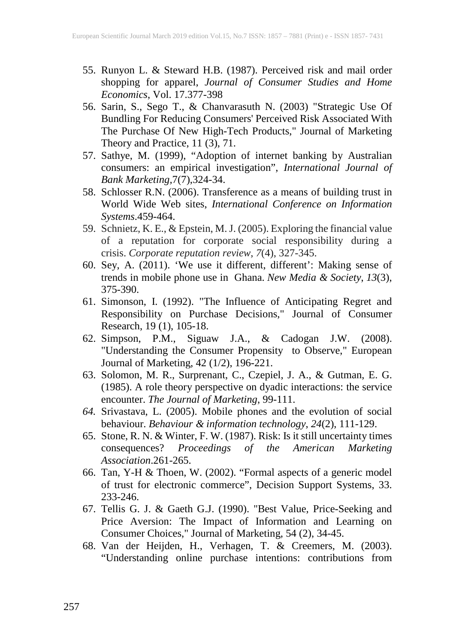- 55. Runyon L. & Steward H.B. (1987). Perceived risk and mail order shopping for apparel, *Journal of Consumer Studies and Home Economics*, Vol. 17.377-398
- 56. Sarin, S., Sego T., & Chanvarasuth N. (2003) "Strategic Use Of Bundling For Reducing Consumers' Perceived Risk Associated With The Purchase Of New High-Tech Products," Journal of Marketing Theory and Practice, 11 (3), 71.
- 57. Sathye, M. (1999), "Adoption of internet banking by Australian consumers: an empirical investigation", *International Journal of Bank Marketing,*7(7),324-34.
- 58. Schlosser R.N. (2006). Transference as a means of building trust in World Wide Web sites, *International Conference on Information Systems*.459-464.
- 59. Schnietz, K. E., & Epstein, M. J. (2005). Exploring the financial value of a reputation for corporate social responsibility during a crisis. *Corporate reputation review*, *7*(4), 327-345.
- 60. Sey, A. (2011). 'We use it different, different': Making sense of trends in mobile phone use in Ghana. *New Media & Society*, *13*(3), 375-390.
- 61. Simonson, I. (1992). "The Influence of Anticipating Regret and Responsibility on Purchase Decisions," Journal of Consumer Research, 19 (1), 105-18.
- 62. Simpson, P.M., Siguaw J.A., & Cadogan J.W. (2008). "Understanding the Consumer Propensity to Observe," European Journal of Marketing, 42 (1/2), 196-221.
- 63. Solomon, M. R., Surprenant, C., Czepiel, J. A., & Gutman, E. G. (1985). A role theory perspective on dyadic interactions: the service encounter. *The Journal of Marketing*, 99-111.
- *64.* Srivastava, L. (2005). Mobile phones and the evolution of social behaviour. *Behaviour & information technology*, *24*(2), 111-129.
- 65. Stone, R. N. & Winter, F. W. (1987). Risk: Is it still uncertainty times consequences? *Proceedings of the American Marketing Association*.261-265.
- 66. Tan, Y-H & Thoen, W. (2002). "Formal aspects of a generic model of trust for electronic commerce", Decision Support Systems, 33. 233-246.
- 67. Tellis G. J. & Gaeth G.J. (1990). "Best Value, Price-Seeking and Price Aversion: The Impact of Information and Learning on Consumer Choices," Journal of Marketing, 54 (2), 34-45.
- 68. Van der Heijden, H., Verhagen, T. & Creemers, M. (2003). "Understanding online purchase intentions: contributions from